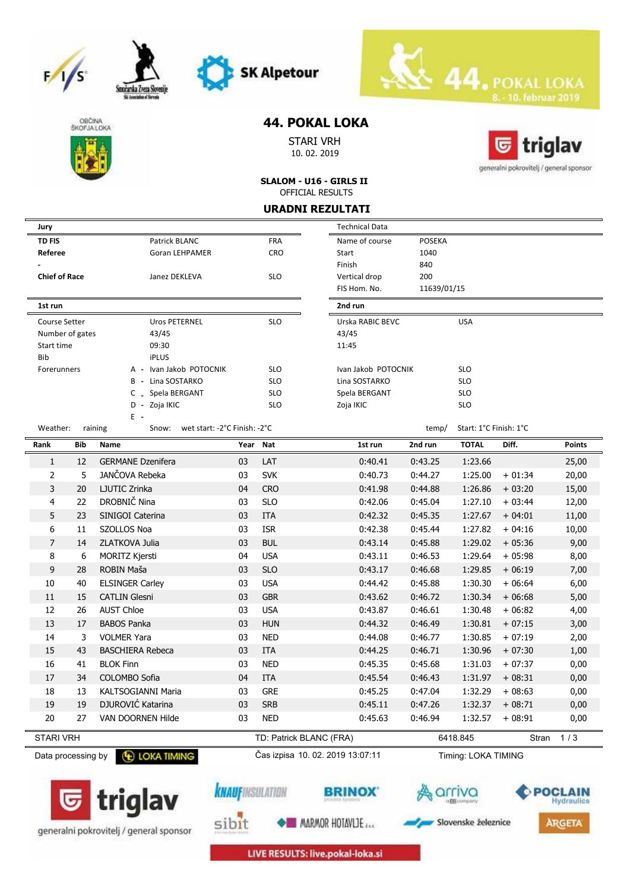







generalni pokrovitelj / general sponsor

Smożarska Zveza S

# **44. POKAL LOKA**

STARI VRH 10. 02. 2019



**SLALOM - U16 - GIRLS II** OFFICIAL RESULTS

**URADNI REZULTATI**

| Jury                 |     |                                                        |          |                         | <b>Technical Data</b>            |               |                        |          |                       |
|----------------------|-----|--------------------------------------------------------|----------|-------------------------|----------------------------------|---------------|------------------------|----------|-----------------------|
| <b>TD FIS</b>        |     | Patrick BLANC                                          |          | <b>FRA</b>              | Name of course                   | <b>POSEKA</b> |                        |          |                       |
| Referee              |     | <b>Goran LEHPAMER</b>                                  |          | <b>CRO</b>              | Start                            | 1040          |                        |          |                       |
|                      |     |                                                        |          |                         | Finish                           | 840           |                        |          |                       |
| <b>Chief of Race</b> |     | Janez DEKLEVA                                          |          | <b>SLO</b>              | Vertical drop                    | 200           |                        |          |                       |
|                      |     |                                                        |          |                         | FIS Hom. No.                     | 11639/01/15   |                        |          |                       |
| 1st run              |     |                                                        |          |                         | 2nd run                          |               |                        |          |                       |
| <b>Course Setter</b> |     | Uros PETERNEL                                          |          | <b>SLO</b>              | Urska RABIC BEVC                 |               | <b>USA</b>             |          |                       |
| Number of gates      |     | 43/45                                                  |          |                         | 43/45                            |               |                        |          |                       |
| Start time           |     | 09:30                                                  |          |                         | 11:45                            |               |                        |          |                       |
| Bib                  |     | <b>iPLUS</b>                                           |          |                         |                                  |               |                        |          |                       |
| Forerunners          |     | A - Ivan Jakob POTOCNIK                                |          | <b>SLO</b>              | Ivan Jakob POTOCNIK              |               | <b>SLO</b>             |          |                       |
|                      |     | B - Lina SOSTARKO                                      |          | <b>SLO</b>              | Lina SOSTARKO                    |               | <b>SLO</b>             |          |                       |
|                      |     | C _ Spela BERGANT                                      |          | <b>SLO</b>              | Spela BERGANT                    |               | <b>SLO</b>             |          |                       |
|                      |     | D - Zoja IKIC                                          |          | <b>SLO</b>              | Zoja IKIC                        |               | <b>SLO</b>             |          |                       |
| Weather:             |     | Ε.<br>wet start: -2°C Finish: -2°C<br>raining<br>Snow: |          |                         |                                  | temp/         | Start: 1°C Finish: 1°C |          |                       |
| Rank                 | Bib | Name                                                   | Year Nat |                         | 1st run                          | 2nd run       | <b>TOTAL</b>           | Diff.    | <b>Points</b>         |
| 1                    | 12  | <b>GERMANE Dzenifera</b>                               | 03       | LAT                     | 0:40.41                          | 0:43.25       | 1:23.66                |          | 25,00                 |
| $\overline{2}$       | 5   | JANČOVA Rebeka                                         | 03       | <b>SVK</b>              | 0:40.73                          | 0:44.27       | 1:25.00                | $+01:34$ | 20,00                 |
| 3                    | 20  | LJUTIC Zrinka                                          | 04       | <b>CRO</b>              | 0:41.98                          | 0:44.88       | 1:26.86                | $+03:20$ | 15,00                 |
| 4                    | 22  | DROBNIČ Nina                                           | 03       | <b>SLO</b>              | 0:42.06                          | 0:45.04       | 1:27.10                | $+03:44$ | 12,00                 |
| 5                    | 23  | SINIGOI Caterina                                       | 03       | <b>ITA</b>              | 0:42.32                          | 0:45.35       | 1:27.67                | $+04:01$ | 11,00                 |
| 6                    | 11  | SZOLLOS Noa                                            | 03       | <b>ISR</b>              | 0:42.38                          | 0:45.44       | 1:27.82                | $+04:16$ | 10,00                 |
| $\overline{7}$       | 14  | ZLATKOVA Julia                                         | 03       | <b>BUL</b>              | 0:43.14                          | 0:45.88       | 1:29.02                | $+05:36$ | 9,00                  |
| 8                    | 6   | <b>MORITZ Kjersti</b>                                  | 04       | <b>USA</b>              | 0:43.11                          | 0:46.53       | 1:29.64                | $+05:98$ | 8,00                  |
| 9                    | 28  | ROBIN Maša                                             | 03       | <b>SLO</b>              | 0:43.17                          | 0:46.68       | 1:29.85                | $+06:19$ | 7,00                  |
| 10                   | 40  | <b>ELSINGER Carley</b>                                 | 03       | <b>USA</b>              | 0:44.42                          | 0:45.88       | 1:30.30                | $+06:64$ | 6,00                  |
| 11                   | 15  | <b>CATLIN Glesni</b>                                   | 03       | <b>GBR</b>              | 0:43.62                          | 0:46.72       | 1:30.34                | $+06:68$ | 5,00                  |
| 12                   | 26  | <b>AUST Chloe</b>                                      | 03       | <b>USA</b>              | 0:43.87                          | 0:46.61       | 1:30.48                | $+06:82$ | 4,00                  |
| 13                   | 17  | <b>BABOS Panka</b>                                     | 03       | <b>HUN</b>              | 0:44.32                          | 0:46.49       |                        |          |                       |
|                      |     |                                                        |          |                         |                                  |               | 1:30.81                | $+07:15$ | 3,00                  |
| 14                   | 3   | <b>VOLMER Yara</b>                                     | 03       | <b>NED</b>              | 0:44.08                          | 0:46.77       | 1:30.85                | $+07:19$ | 2,00                  |
| 15                   | 43  | <b>BASCHIERA Rebeca</b>                                | 03       | <b>ITA</b>              | 0:44.25                          | 0:46.71       | 1:30.96                | $+07:30$ | 1,00                  |
| 16                   | 41  | <b>BLOK Finn</b>                                       | 03       | <b>NED</b>              | 0:45.35                          | 0:45.68       | 1:31.03                | $+07:37$ | 0,00                  |
| 17                   | 34  | COLOMBO Sofia                                          | 04       | <b>ITA</b>              | 0:45.54                          | 0:46.43       | 1:31.97                | $+08:31$ | 0,00                  |
| 18                   | 13  | KALTSOGIANNI Maria                                     | 03       | GRE                     | 0:45.25                          | 0:47.04       | 1:32.29                | + 08:63  | 0,00                  |
| 19                   | 19  | DJUROVIĆ Katarina                                      | 03       | <b>SRB</b>              | 0:45.11                          | 0:47.26       | 1:32.37                | $+08:71$ | 0,00                  |
| 20                   | 27  | VAN DOORNEN Hilde                                      | 03       | <b>NED</b>              | 0:45.63                          | 0:46.94       | 1:32.57                | $+08:91$ | 0,00                  |
| <b>STARI VRH</b>     |     |                                                        |          | TD: Patrick BLANC (FRA) |                                  |               | 6418.845               | Stran    | 1/3                   |
| Data processing by   |     | <b>E LOKA TIMING</b>                                   |          |                         | Čas izpisa 10. 02. 2019 13:07:11 |               | Timing: LOKA TIMING    |          |                       |
|                      |     | triglav                                                |          | <b>KNAUF</b> INSULATION |                                  |               |                        |          | POCLAIN<br>Hydraulics |

**MARMOR HOTAVLIE** sibit

LIVE RESULTS: live.pokal-loka.si

Slovenske železnice

**ARGETA**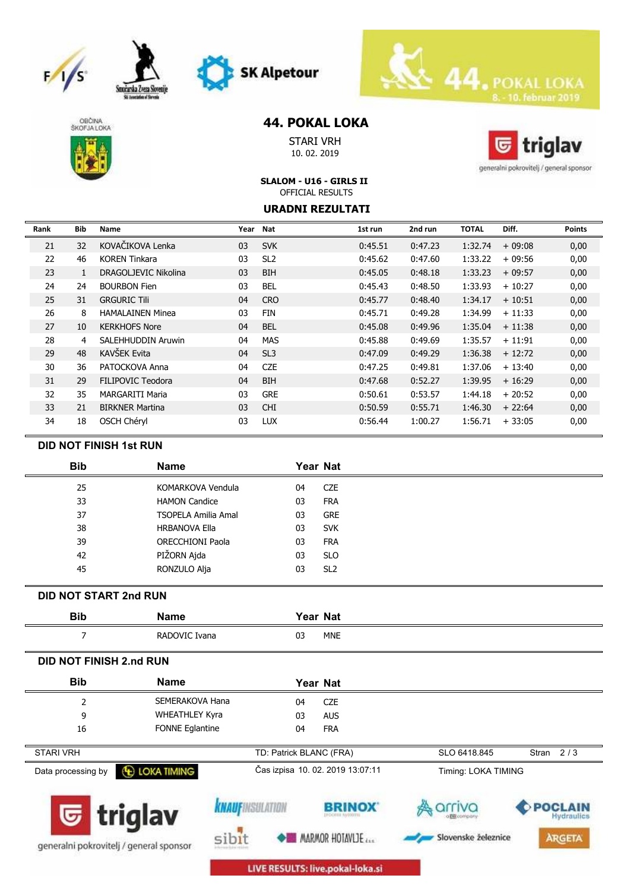







# **44. POKAL LOKA**

STARI VRH 10. 02. 2019



generalni pokrovitelj / general sponsor

### **SLALOM - U16 - GIRLS II** OFFICIAL RESULTS

#### **URADNI REZULTATI**

| Rank | Bib | Name                     | Year | Nat             | 1st run | 2nd run | <b>TOTAL</b> | Diff.    | <b>Points</b> |
|------|-----|--------------------------|------|-----------------|---------|---------|--------------|----------|---------------|
| 21   | 32  | KOVAČIKOVA Lenka         | 03   | <b>SVK</b>      | 0:45.51 | 0:47.23 | 1:32.74      | $+09:08$ | 0,00          |
| 22   | 46  | <b>KOREN Tinkara</b>     | 03   | SL <sub>2</sub> | 0:45.62 | 0:47.60 | 1:33.22      | $+09:56$ | 0,00          |
| 23   |     | DRAGOLJEVIC Nikolina     | 03   | <b>BIH</b>      | 0:45.05 | 0:48.18 | 1:33.23      | $+09:57$ | 0,00          |
| 24   | 24  | <b>BOURBON Fien</b>      | 03   | <b>BEL</b>      | 0:45.43 | 0:48.50 | 1:33.93      | $+10:27$ | 0,00          |
| 25   | 31  | <b>GRGURIC Tili</b>      | 04   | <b>CRO</b>      | 0:45.77 | 0:48.40 | 1:34.17      | $+10:51$ | 0,00          |
| 26   | 8   | <b>HAMALAINEN Minea</b>  | 03   | FIN             | 0:45.71 | 0:49.28 | 1:34.99      | $+11:33$ | 0,00          |
| 27   | 10  | <b>KERKHOFS Nore</b>     | 04   | <b>BEL</b>      | 0:45.08 | 0:49.96 | 1:35.04      | $+11:38$ | 0,00          |
| 28   | 4   | SALEHHUDDIN Aruwin       | 04   | <b>MAS</b>      | 0:45.88 | 0:49.69 | 1:35.57      | $+11:91$ | 0,00          |
| 29   | 48  | <b>KAVŠEK Evita</b>      | 04   | SL <sub>3</sub> | 0:47.09 | 0:49.29 | 1:36.38      | $+12:72$ | 0,00          |
| 30   | 36  | PATOCKOVA Anna           | 04   | <b>CZE</b>      | 0:47.25 | 0:49.81 | 1:37.06      | $+13:40$ | 0,00          |
| 31   | 29  | <b>FILIPOVIC Teodora</b> | 04   | <b>BIH</b>      | 0:47.68 | 0:52.27 | 1:39.95      | $+16:29$ | 0,00          |
| 32   | 35  | <b>MARGARITI Maria</b>   | 03   | <b>GRE</b>      | 0:50.61 | 0:53.57 | 1:44.18      | $+20:52$ | 0,00          |
| 33   | 21  | <b>BIRKNER Martina</b>   | 03   | <b>CHI</b>      | 0:50.59 | 0:55.71 | 1:46.30      | $+22:64$ | 0,00          |
| 34   | 18  | OSCH Chéryl              | 03   | <b>LUX</b>      | 0:56.44 | 1:00.27 | 1:56.71      | $+33:05$ | 0,00          |

### **DID NOT FINISH 1st RUN**

| <b>Bib</b> | <b>Name</b>                | Year Nat              |
|------------|----------------------------|-----------------------|
| 25         | KOMARKOVA Vendula          | <b>CZE</b><br>04      |
| 33         | <b>HAMON Candice</b>       | 03<br><b>FRA</b>      |
| 37         | <b>TSOPELA Amilia Amal</b> | <b>GRE</b><br>03      |
| 38         | <b>HRBANOVA Ella</b>       | 03<br><b>SVK</b>      |
| 39         | <b>ORECCHIONI Paola</b>    | 03<br><b>FRA</b>      |
| 42         | PIŽORN Ajda                | <b>SLO</b><br>03      |
| 45         | RONZULO Alja               | SL <sub>2</sub><br>03 |
|            |                            |                       |

## **DID NOT START 2nd RUN**

| <b>Bib</b>                     | <b>Name</b>                             |                        |                         | Year Nat                                  |                     |                                     |
|--------------------------------|-----------------------------------------|------------------------|-------------------------|-------------------------------------------|---------------------|-------------------------------------|
| 7                              | RADOVIC Ivana                           |                        | 03                      | <b>MNE</b>                                |                     |                                     |
| <b>DID NOT FINISH 2.nd RUN</b> |                                         |                        |                         |                                           |                     |                                     |
| <b>Bib</b>                     | <b>Name</b>                             |                        |                         | Year Nat                                  |                     |                                     |
| 2                              | SEMERAKOVA Hana                         |                        | 04                      | <b>CZE</b>                                |                     |                                     |
| 9                              | <b>WHEATHLEY Kyra</b>                   |                        | 03                      | <b>AUS</b>                                |                     |                                     |
| 16                             | <b>FONNE Eglantine</b>                  |                        | 04                      | <b>FRA</b>                                |                     |                                     |
| <b>STARI VRH</b>               |                                         |                        | TD: Patrick BLANC (FRA) |                                           | SLO 6418.845        | Stran $2/3$                         |
| Data processing by             | <b>E LOKA TIMING</b>                    |                        |                         | Čas izpisa 10. 02. 2019 13:07:11          | Timing: LOKA TIMING |                                     |
|                                | $\overline{\mathbf{G}}$ triglav         | <b>KNAUFINSULATION</b> |                         | <b>BRINOX</b><br><b>INDORF AVAILITIES</b> | riva                | <b>POCLAIN</b><br><b>Hydraulics</b> |
|                                | generalni pokrovitelj / general sponsor |                        |                         | <b>MARMOR HOTAVLIE</b>                    | Slovenske železnice | <b>ARGETA</b>                       |

LIVE RESULTS: live.pokal-loka.si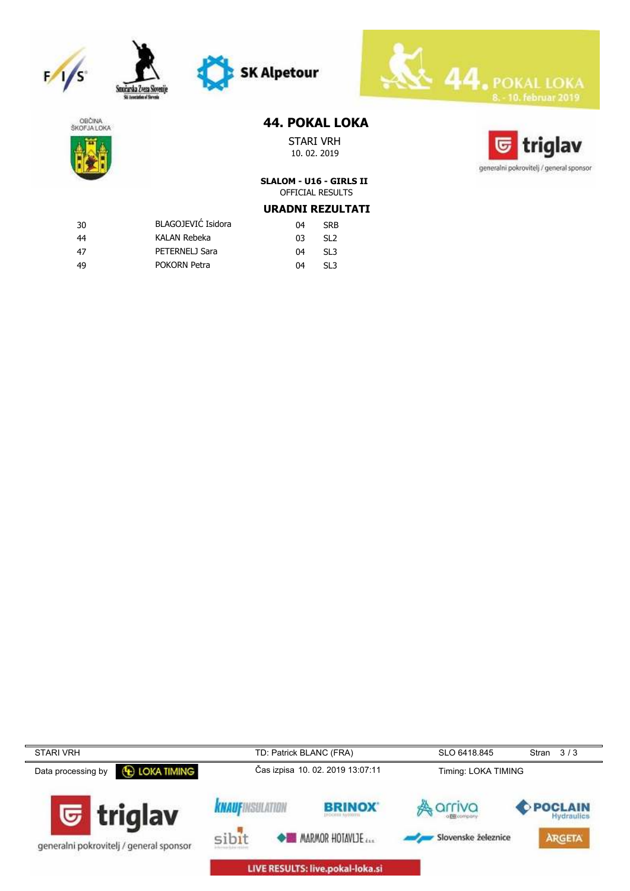









## **44. POKAL LOKA**

STARI VRH 10. 02. 2019



# **SLALOM - U16 - GIRLS II** OFFICIAL RESULTS

# **URADNI REZULTATI**

| -30 | BLAGOJEVIĆ Isidora | 04 | <b>SRB</b>      |
|-----|--------------------|----|-----------------|
| 44  | KALAN Rebeka       | n٦ | SL <sub>2</sub> |
| 47  | PETERNELJ Sara     | 04 | SL <sub>3</sub> |
| -49 | POKORN Petra       | 04 | SI 3            |

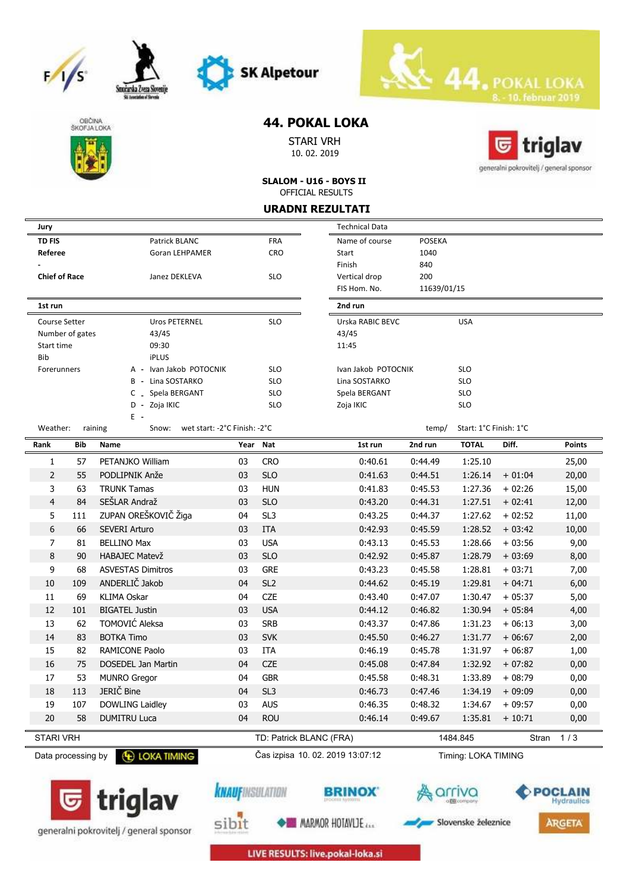







Smożarska Zveza S

## **44. POKAL LOKA**

STARI VRH 10. 02. 2019



**SLALOM - U16 - BOYS II** OFFICIAL RESULTS

**URADNI REZULTATI**

| UKAVNI KEZULIAII               |            |                                                           |            |                                  |                       |             |                          |          |               |
|--------------------------------|------------|-----------------------------------------------------------|------------|----------------------------------|-----------------------|-------------|--------------------------|----------|---------------|
| Jury                           |            |                                                           |            |                                  | <b>Technical Data</b> |             |                          |          |               |
| <b>TD FIS</b><br>Patrick BLANC |            |                                                           | <b>FRA</b> | <b>POSEKA</b><br>Name of course  |                       |             |                          |          |               |
| Referee                        |            | Goran LEHPAMER                                            |            | <b>CRO</b>                       | Start                 | 1040        |                          |          |               |
|                                |            |                                                           |            |                                  | Finish                | 840         |                          |          |               |
| <b>Chief of Race</b>           |            | Janez DEKLEVA                                             |            | <b>SLO</b>                       | Vertical drop         | 200         |                          |          |               |
|                                |            |                                                           |            |                                  | FIS Hom. No.          | 11639/01/15 |                          |          |               |
| 1st run                        |            |                                                           |            |                                  | 2nd run               |             |                          |          |               |
| Course Setter                  |            | <b>Uros PETERNEL</b>                                      |            | <b>SLO</b>                       | Urska RABIC BEVC      |             | <b>USA</b>               |          |               |
| Number of gates                |            | 43/45                                                     |            |                                  | 43/45                 |             |                          |          |               |
| Start time                     |            | 09:30                                                     |            |                                  | 11:45                 |             |                          |          |               |
| Bib                            |            | <b>iPLUS</b>                                              |            |                                  |                       |             |                          |          |               |
| Forerunners                    |            | A - Ivan Jakob POTOCNIK                                   |            | <b>SLO</b>                       | Ivan Jakob POTOCNIK   |             | <b>SLO</b>               |          |               |
|                                |            | Lina SOSTARKO<br>B -                                      |            | <b>SLO</b>                       | Lina SOSTARKO         |             | <b>SLO</b>               |          |               |
|                                |            | _ Spela BERGANT<br>C                                      |            | <b>SLO</b>                       | Spela BERGANT         |             | <b>SLO</b>               |          |               |
|                                |            | Zoja IKIC<br>D -<br>E -                                   |            | <b>SLO</b>                       | Zoja IKIC             |             | <b>SLO</b>               |          |               |
| Weather:                       |            | wet start: -2°C Finish: -2°C<br>raining<br>Snow:<br>temp/ |            | Start: 1°C Finish: 1°C           |                       |             |                          |          |               |
| Rank                           | <b>Bib</b> | Name                                                      | Year Nat   |                                  | 1st run               | 2nd run     | <b>TOTAL</b>             | Diff.    | <b>Points</b> |
| 1                              | 57         | PETANJKO William                                          | 03         | <b>CRO</b>                       | 0:40.61               | 0:44.49     | 1:25.10                  |          | 25,00         |
| $\overline{2}$                 | 55         | PODLIPNIK Anže                                            | 03         | <b>SLO</b>                       | 0:41.63               | 0:44.51     | 1:26.14                  | $+01:04$ | 20,00         |
| 3                              | 63         | <b>TRUNK Tamas</b>                                        | 03         | <b>HUN</b>                       | 0:41.83               | 0:45.53     | 1:27.36                  | $+02:26$ | 15,00         |
| $\overline{4}$                 | 84         | SEŠLAR Andraž                                             | 03         | <b>SLO</b>                       | 0:43.20               | 0:44.31     | 1:27.51                  | $+02:41$ | 12,00         |
| 5                              | 111        | ZUPAN OREŠKOVIČ Žiga                                      | 04         | SL <sub>3</sub>                  | 0:43.25               | 0:44.37     | 1:27.62                  | $+02:52$ | 11,00         |
| 6                              | 66         | <b>SEVERI Arturo</b>                                      | 03         | <b>ITA</b>                       | 0:42.93               | 0:45.59     | 1:28.52                  | $+03:42$ | 10,00         |
| $\overline{7}$                 | 81         | <b>BELLINO Max</b>                                        | 03         | <b>USA</b>                       | 0:43.13               | 0:45.53     | 1:28.66                  | $+03:56$ | 9,00          |
| 8                              | 90         | <b>HABAJEC Matevž</b>                                     | 03         | <b>SLO</b>                       | 0:42.92               | 0:45.87     | 1:28.79                  | $+03:69$ | 8,00          |
| 9                              | 68         | <b>ASVESTAS Dimitros</b>                                  | 03         | <b>GRE</b>                       | 0:43.23               | 0:45.58     | 1:28.81                  | $+03:71$ | 7,00          |
| 10                             | 109        | ANDERLIČ Jakob                                            | 04         | SL <sub>2</sub>                  | 0:44.62               | 0:45.19     | 1:29.81                  | $+04:71$ | 6,00          |
| 11                             | 69         | <b>KLIMA Oskar</b>                                        | 04         | <b>CZE</b>                       | 0:43.40               | 0:47.07     | 1:30.47                  | $+05:37$ | 5,00          |
| 12                             | 101        | <b>BIGATEL Justin</b>                                     | 03         | <b>USA</b>                       | 0:44.12               | 0:46.82     | 1:30.94                  | $+05:84$ | 4,00          |
| 13                             | 62         | TOMOVIĆ Aleksa                                            | 03         | <b>SRB</b>                       | 0:43.37               | 0:47.86     | 1:31.23                  | $+06:13$ | 3,00          |
| 14                             | 83         | <b>BOTKA Timo</b>                                         | 03         | <b>SVK</b>                       | 0:45.50               | 0:46.27     | 1:31.77                  | $+06:67$ | 2,00          |
| 15                             | 82         | <b>RAMICONE Paolo</b>                                     | 03         | <b>ITA</b>                       | 0:46.19               | 0:45.78     | 1:31.97                  | $+06:87$ | 1,00          |
| 16                             | 75         | <b>DOSEDEL Jan Martin</b>                                 | 04         | <b>CZE</b>                       | 0:45.08               | 0:47.84     | 1:32.92                  | $+07:82$ | 0,00          |
| 17                             | 53         | <b>MUNRO Gregor</b>                                       | 04         | <b>GBR</b>                       | 0:45.58               | 0:48.31     | 1:33.89                  | $+08:79$ | 0,00          |
| 18                             | 113        | JERIČ Bine                                                | 04         | SL <sub>3</sub>                  | 0:46.73               | 0:47.46     | 1:34.19                  | $+09:09$ | 0,00          |
| 19                             | 107        | DOWLING Laidley                                           | 03         | <b>AUS</b>                       | 0:46.35               | 0:48.32     | 1:34.67                  | $+09:57$ | 0,00          |
| 20                             | 58         | <b>DUMITRU Luca</b>                                       | 04         | <b>ROU</b>                       | 0:46.14               | 0:49.67     | 1:35.81                  | $+10:71$ | 0,00          |
|                                |            |                                                           |            |                                  |                       |             |                          |          |               |
| <b>STARI VRH</b>               |            |                                                           |            | TD: Patrick BLANC (FRA)          |                       |             | 1/3<br>1484.845<br>Stran |          |               |
| Data processing by             |            | <b>E LOKA TIMING</b>                                      |            | Čas izpisa 10. 02. 2019 13:07:12 |                       |             | Timing: LOKA TIMING      |          |               |
|                                |            |                                                           |            |                                  |                       |             |                          |          |               |





sibit

**BRINOX** 





LIVE RESULTS: live.pokal-loka.si

**MARMOR HOTAVLIE**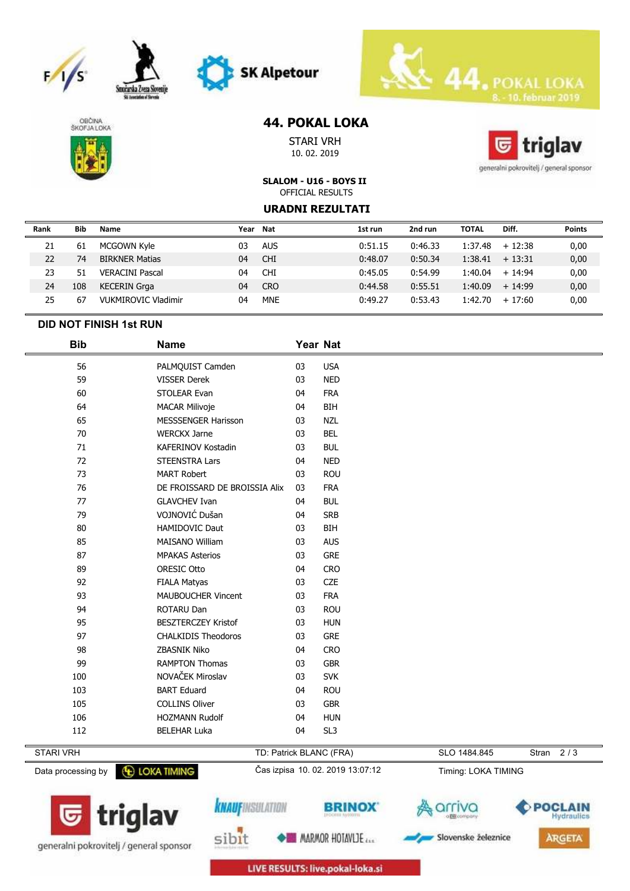







Smożarska Zw

# **44. POKAL LOKA**

STARI VRH 10. 02. 2019



generalni pokrovitelj / general sponsor

**SLALOM - U16 - BOYS II** OFFICIAL RESULTS

#### **URADNI REZULTATI**

| Rank | <b>Bib</b> | Name                   | Year | Nat        | 1st run | 2nd run | <b>TOTAL</b> | Diff.             | <b>Points</b> |
|------|------------|------------------------|------|------------|---------|---------|--------------|-------------------|---------------|
| 21   | 61         | MCGOWN Kyle            | 03   | <b>AUS</b> | 0:51.15 | 0:46.33 |              | $1:37.48 + 12:38$ | 0,00          |
| 22   | 74         | <b>BIRKNER Matias</b>  | 04   | <b>CHI</b> | 0:48.07 | 0:50.34 | 1:38.41      | $+13:31$          | 0,00          |
| 23   | 51         | <b>VERACINI Pascal</b> | 04   | <b>CHI</b> | 0:45.05 | 0:54.99 | 1:40.04      | $+14.94$          | 0,00          |
| 24   | 108        | <b>KECERIN Grga</b>    | 04   | <b>CRO</b> | 0:44.58 | 0:55.51 | 1:40.09      | $+14.99$          | 0,00          |
| 25   | 67         | VUKMIROVIC Vladimir    | 04   | <b>MNE</b> | 0:49.27 | 0:53.43 | 1:42.70      | $+17:60$          | 0,00          |

#### **DID NOT FINISH 1st RUN**

| <b>Bib</b>       | <b>Name</b>                   | Year Nat |                 |              |       |     |
|------------------|-------------------------------|----------|-----------------|--------------|-------|-----|
| 56               | PALMQUIST Camden              | 03       | <b>USA</b>      |              |       |     |
| 59               | <b>VISSER Derek</b>           | 03       | <b>NED</b>      |              |       |     |
| 60               | STOLEAR Evan                  | 04       | <b>FRA</b>      |              |       |     |
| 64               | <b>MACAR Milivoje</b>         | 04       | BIH             |              |       |     |
| 65               | <b>MESSSENGER Harisson</b>    | 03       | <b>NZL</b>      |              |       |     |
| 70               | <b>WERCKX Jarne</b>           | 03       | <b>BEL</b>      |              |       |     |
| 71               | <b>KAFERINOV Kostadin</b>     | 03       | <b>BUL</b>      |              |       |     |
| 72               | <b>STEENSTRA Lars</b>         | 04       | <b>NED</b>      |              |       |     |
| 73               | <b>MART Robert</b>            | 03       | <b>ROU</b>      |              |       |     |
| 76               | DE FROISSARD DE BROISSIA Alix | 03       | <b>FRA</b>      |              |       |     |
| 77               | <b>GLAVCHEV Ivan</b>          | 04       | <b>BUL</b>      |              |       |     |
| 79               | VOJNOVIĆ Dušan                | 04       | <b>SRB</b>      |              |       |     |
| 80               | HAMIDOVIC Daut                | 03       | BIH             |              |       |     |
| 85               | <b>MAISANO William</b>        | 03       | <b>AUS</b>      |              |       |     |
| 87               | <b>MPAKAS Asterios</b>        | 03       | <b>GRE</b>      |              |       |     |
| 89               | ORESIC Otto                   | 04       | <b>CRO</b>      |              |       |     |
| 92               | <b>FIALA Matyas</b>           | 03       | <b>CZE</b>      |              |       |     |
| 93               | <b>MAUBOUCHER Vincent</b>     | 03       | <b>FRA</b>      |              |       |     |
| 94               | <b>ROTARU Dan</b>             | 03       | <b>ROU</b>      |              |       |     |
| 95               | <b>BESZTERCZEY Kristof</b>    | 03       | <b>HUN</b>      |              |       |     |
| 97               | <b>CHALKIDIS Theodoros</b>    | 03       | <b>GRE</b>      |              |       |     |
| 98               | ZBASNIK Niko                  | 04       | <b>CRO</b>      |              |       |     |
| 99               | <b>RAMPTON Thomas</b>         | 03       | <b>GBR</b>      |              |       |     |
| 100              | NOVAČEK Miroslav              | 03       | <b>SVK</b>      |              |       |     |
| 103              | <b>BART Eduard</b>            | 04       | <b>ROU</b>      |              |       |     |
| 105              | <b>COLLINS Oliver</b>         | 03       | <b>GBR</b>      |              |       |     |
| 106              | <b>HOZMANN Rudolf</b>         | 04       | <b>HUN</b>      |              |       |     |
| 112              | <b>BELEHAR Luka</b>           | 04       | SL <sub>3</sub> |              |       |     |
| <b>STARI VRH</b> | TD: Patrick BLANC (FRA)       |          |                 | SLO 1484.845 | Stran | 2/3 |



LIVE RESULTS: live.pokal-loka.si